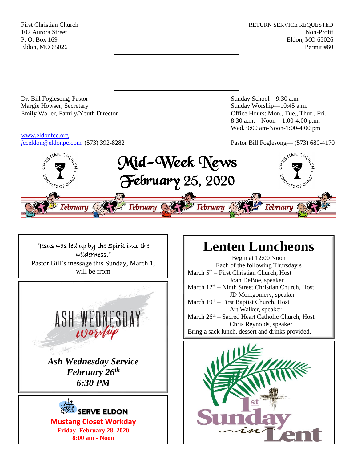First Christian Church **RETURN SERVICE REQUESTED** 102 Aurora Street Non-Profit P. O. Box 169 Eldon, MO 65026 Eldon, MO 65026 Permit #60



Dr. Bill Foglesong, Pastor Sunday School—9:30 a.m. Margie Howser, Secretary Sunday Worship—10:45 a.m. Emily Waller, Family/Youth Director **Containers** Office Hours: Mon., Tue., Thur., Fri.

[www.eldonfcc.org](http://www.eldonfcc.org/)

8:30 a.m. – Noon – 1:00-4:00 p.m. Wed. 9:00 am-Noon-1:00-4:00 pm

*f*[cceldon@eldonpc.com](mailto:fcceldon@eldonpc.com) (573) 392-8282 Pastor Bill Foglesong— (573) 680-4170





# **Lenten Luncheons**

Begin at 12:00 Noon Each of the following Thursday s March 5<sup>th</sup> – First Christian Church, Host Joan DeBoe, speaker March  $12<sup>th</sup>$  – Ninth Street Christian Church, Host JD Montgomery, speaker March  $19<sup>th</sup>$  – First Baptist Church, Host Art Walker, speaker March  $26<sup>th</sup>$  – Sacred Heart Catholic Church, Host Chris Reynolds, speaker Bring a sack lunch, dessert and drinks provided.